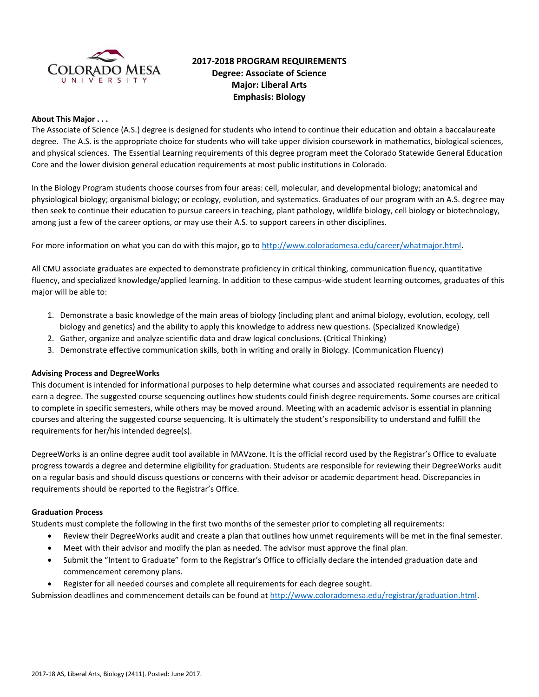

# **2017-2018 PROGRAM REQUIREMENTS Degree: Associate of Science Major: Liberal Arts Emphasis: Biology**

# **About This Major . . .**

The Associate of Science (A.S.) degree is designed for students who intend to continue their education and obtain a baccalaureate degree. The A.S. is the appropriate choice for students who will take upper division coursework in mathematics, biological sciences, and physical sciences. The Essential Learning requirements of this degree program meet the Colorado Statewide General Education Core and the lower division general education requirements at most public institutions in Colorado.

In the Biology Program students choose courses from four areas: cell, molecular, and developmental biology; anatomical and physiological biology; organismal biology; or ecology, evolution, and systematics. Graduates of our program with an A.S. degree may then seek to continue their education to pursue careers in teaching, plant pathology, wildlife biology, cell biology or biotechnology, among just a few of the career options, or may use their A.S. to support careers in other disciplines.

For more information on what you can do with this major, go to http://www.coloradomesa.edu/career/whatmajor.html.

All CMU associate graduates are expected to demonstrate proficiency in critical thinking, communication fluency, quantitative fluency, and specialized knowledge/applied learning. In addition to these campus-wide student learning outcomes, graduates of this major will be able to:

- 1. Demonstrate a basic knowledge of the main areas of biology (including plant and animal biology, evolution, ecology, cell biology and genetics) and the ability to apply this knowledge to address new questions. (Specialized Knowledge)
- 2. Gather, organize and analyze scientific data and draw logical conclusions. (Critical Thinking)
- 3. Demonstrate effective communication skills, both in writing and orally in Biology. (Communication Fluency)

#### **Advising Process and DegreeWorks**

This document is intended for informational purposes to help determine what courses and associated requirements are needed to earn a degree. The suggested course sequencing outlines how students could finish degree requirements. Some courses are critical to complete in specific semesters, while others may be moved around. Meeting with an academic advisor is essential in planning courses and altering the suggested course sequencing. It is ultimately the student's responsibility to understand and fulfill the requirements for her/his intended degree(s).

DegreeWorks is an online degree audit tool available in MAVzone. It is the official record used by the Registrar's Office to evaluate progress towards a degree and determine eligibility for graduation. Students are responsible for reviewing their DegreeWorks audit on a regular basis and should discuss questions or concerns with their advisor or academic department head. Discrepancies in requirements should be reported to the Registrar's Office.

#### **Graduation Process**

Students must complete the following in the first two months of the semester prior to completing all requirements:

- Review their DegreeWorks audit and create a plan that outlines how unmet requirements will be met in the final semester.
- Meet with their advisor and modify the plan as needed. The advisor must approve the final plan.
- Submit the "Intent to Graduate" form to the Registrar's Office to officially declare the intended graduation date and commencement ceremony plans.
- Register for all needed courses and complete all requirements for each degree sought.

Submission deadlines and commencement details can be found at [http://www.coloradomesa.edu/registrar/graduation.html.](http://www.coloradomesa.edu/registrar/graduation.html)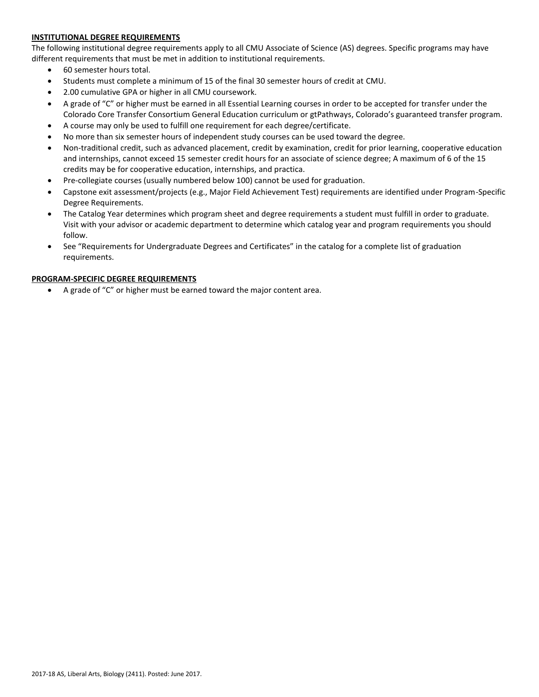# **INSTITUTIONAL DEGREE REQUIREMENTS**

The following institutional degree requirements apply to all CMU Associate of Science (AS) degrees. Specific programs may have different requirements that must be met in addition to institutional requirements.

- 60 semester hours total.
- Students must complete a minimum of 15 of the final 30 semester hours of credit at CMU.
- 2.00 cumulative GPA or higher in all CMU coursework.
- A grade of "C" or higher must be earned in all Essential Learning courses in order to be accepted for transfer under the Colorado Core Transfer Consortium General Education curriculum or gtPathways, Colorado's guaranteed transfer program.
- A course may only be used to fulfill one requirement for each degree/certificate.
- No more than six semester hours of independent study courses can be used toward the degree.
- Non-traditional credit, such as advanced placement, credit by examination, credit for prior learning, cooperative education and internships, cannot exceed 15 semester credit hours for an associate of science degree; A maximum of 6 of the 15 credits may be for cooperative education, internships, and practica.
- Pre-collegiate courses (usually numbered below 100) cannot be used for graduation.
- Capstone exit assessment/projects (e.g., Major Field Achievement Test) requirements are identified under Program-Specific Degree Requirements.
- The Catalog Year determines which program sheet and degree requirements a student must fulfill in order to graduate. Visit with your advisor or academic department to determine which catalog year and program requirements you should follow.
- See "Requirements for Undergraduate Degrees and Certificates" in the catalog for a complete list of graduation requirements.

# **PROGRAM-SPECIFIC DEGREE REQUIREMENTS**

A grade of "C" or higher must be earned toward the major content area.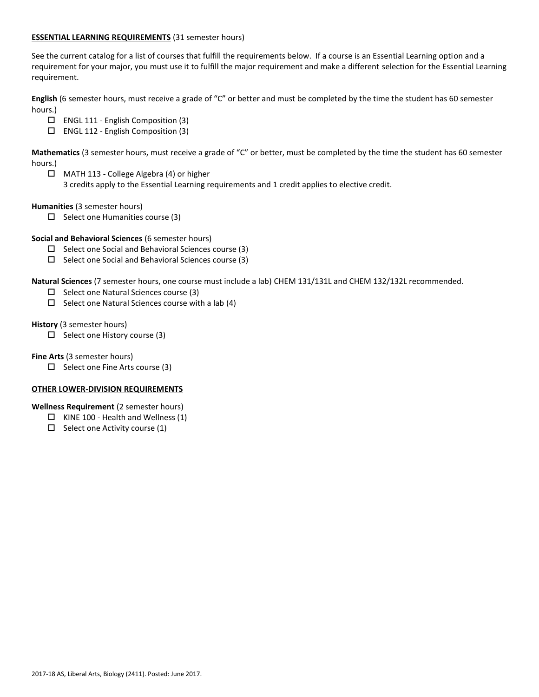# **ESSENTIAL LEARNING REQUIREMENTS** (31 semester hours)

See the current catalog for a list of courses that fulfill the requirements below. If a course is an Essential Learning option and a requirement for your major, you must use it to fulfill the major requirement and make a different selection for the Essential Learning requirement.

**English** (6 semester hours, must receive a grade of "C" or better and must be completed by the time the student has 60 semester hours.)

- ENGL 111 English Composition (3)
- ENGL 112 English Composition (3)

**Mathematics** (3 semester hours, must receive a grade of "C" or better, must be completed by the time the student has 60 semester hours.)

 MATH 113 - College Algebra (4) or higher 3 credits apply to the Essential Learning requirements and 1 credit applies to elective credit.

**Humanities** (3 semester hours)

 $\square$  Select one Humanities course (3)

# **Social and Behavioral Sciences** (6 semester hours)

- $\square$  Select one Social and Behavioral Sciences course (3)
- $\square$  Select one Social and Behavioral Sciences course (3)

**Natural Sciences** (7 semester hours, one course must include a lab) CHEM 131/131L and CHEM 132/132L recommended.

- $\Box$  Select one Natural Sciences course (3)
- $\square$  Select one Natural Sciences course with a lab (4)

**History** (3 semester hours)

 $\Box$  Select one History course (3)

**Fine Arts** (3 semester hours)

 $\Box$  Select one Fine Arts course (3)

# **OTHER LOWER-DIVISION REQUIREMENTS**

**Wellness Requirement** (2 semester hours)

- $\Box$  KINE 100 Health and Wellness (1)
- $\Box$  Select one Activity course (1)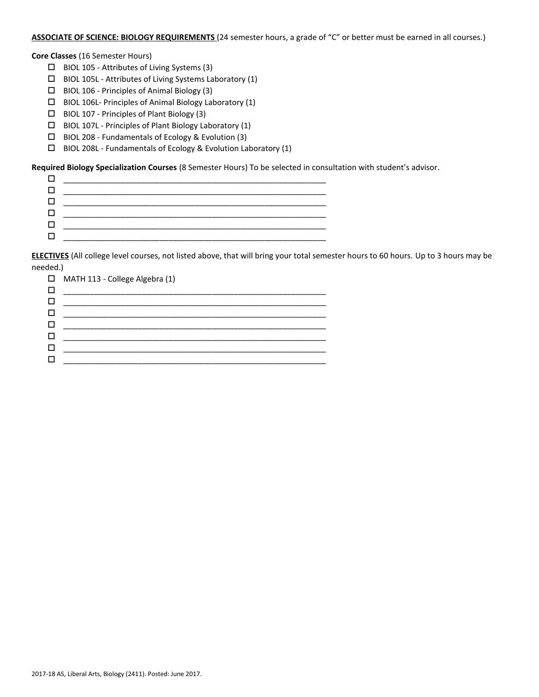### **ASSOCIATE OF SCIENCE: BIOLOGY REQUIREMENTS** (24 semester hours, a grade of "C" or better must be earned in all courses.)

**Core Classes** (16 Semester Hours)

- BIOL 105 Attributes of Living Systems (3)
- $\square$  BIOL 105L Attributes of Living Systems Laboratory (1)
- $\Box$  BIOL 106 Principles of Animal Biology (3)
- $\Box$  BIOL 106L- Principles of Animal Biology Laboratory (1)
- $\Box$  BIOL 107 Principles of Plant Biology (3)
- $\square$  BIOL 107L Principles of Plant Biology Laboratory (1)
- $\square$  BIOL 208 Fundamentals of Ecology & Evolution (3)
- $\square$  BIOL 208L Fundamentals of Ecology & Evolution Laboratory (1)

**Required Biology Specialization Courses** (8 Semester Hours) To be selected in consultation with student's advisor.

| ___________ |
|-------------|
|             |
|             |

**ELECTIVES** (All college level courses, not listed above, that will bring your total semester hours to 60 hours. Up to 3 hours may be needed.)

| $\Box$ MATH 113 - College Algebra (1) |
|---------------------------------------|
|                                       |
|                                       |
|                                       |
|                                       |
|                                       |
|                                       |
|                                       |